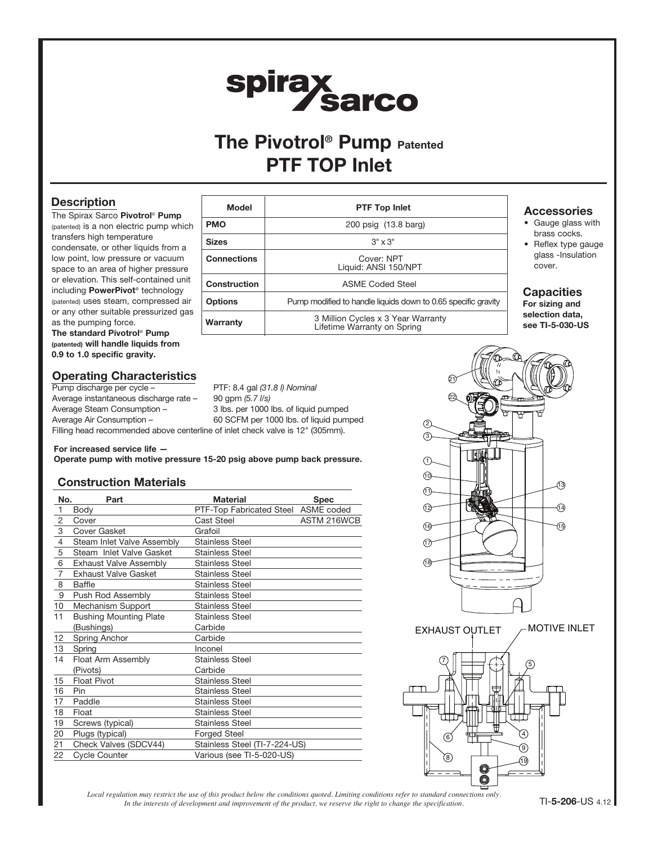# spirax<br>Sarco

# The Pivotrol<sup>®</sup> Pump Patented PTF TOP Inlet

## **Description**

The Spirax Sarco Pivotrol® Pump (patented) is a non electric pump which transfers high temperature condensate, or other liquids from a low point, low pressure or vacuum space to an area of higher pressure or elevation. This self-contained unit including PowerPivot® technology (patented) uses steam, compressed air or any other suitable pressurized gas as the pumping force.

The standard Pivotrol® Pump (patented) will handle liquids from 0.9 to 1.0 specific gravity.

## Operating Characteristics

Pump discharge per cycle – PTF: 8.4 gal (31.8 l) Nominal Average instantaneous discharge rate - 90 gpm (5.7 l/s) Average Steam Consumption – 3 lbs. per 1000 lbs. of liquid pumped Average Air Consumption – 60 SCFM per 1000 lbs. of liquid pumped

| Model               | <b>PTF Top Inlet</b>                                              |
|---------------------|-------------------------------------------------------------------|
| <b>PMO</b>          | 200 psig (13.8 barg)                                              |
| <b>Sizes</b>        | $3" \times 3"$                                                    |
| <b>Connections</b>  | Cover: NPT<br>Liquid: ANSI 150/NPT                                |
| <b>Construction</b> | <b>ASMF Coded Steel</b>                                           |
| <b>Options</b>      | Pump modified to handle liquids down to 0.65 specific gravity     |
| Warranty            | 3 Million Cycles x 3 Year Warranty<br>Lifetime Warranty on Spring |

#### **Accessories**

- Gauge glass with brass cocks.
- Reflex type gauge glass -Insulation cover.

### **Capacities**

For sizing and selection data, see TI-5-030-US

Filling head recommended above centerline of inlet check valve is 12" (305mm).

#### For increased service life —

Operate pump with motive pressure 15-20 psig above pump back pressure.

### Construction Materials

| No.<br>Part    |                               | <b>Material</b>                     | <b>Spec</b> |  |  |
|----------------|-------------------------------|-------------------------------------|-------------|--|--|
| $\mathbf{1}$   | Body                          | PTF-Top Fabricated Steel ASME coded |             |  |  |
| $\overline{2}$ | Cover                         | Cast Steel                          | ASTM 216WCB |  |  |
| 3              | Cover Gasket                  | Grafoil                             |             |  |  |
| $\overline{4}$ | Steam Inlet Valve Assembly    | <b>Stainless Steel</b>              |             |  |  |
| 5              | Steam Inlet Valve Gasket      | <b>Stainless Steel</b>              |             |  |  |
| 6              | <b>Exhaust Valve Assembly</b> | <b>Stainless Steel</b>              |             |  |  |
| $\overline{7}$ | <b>Exhaust Valve Gasket</b>   | <b>Stainless Steel</b>              |             |  |  |
| 8              | Baffle                        | <b>Stainless Steel</b>              |             |  |  |
| 9              | Push Rod Assembly             | <b>Stainless Steel</b>              |             |  |  |
| 10             | Mechanism Support             | <b>Stainless Steel</b>              |             |  |  |
| 11             | <b>Bushing Mounting Plate</b> | <b>Stainless Steel</b>              |             |  |  |
|                | (Bushings)                    | Carbide                             |             |  |  |
| 12             | Spring Anchor                 | Carbide                             |             |  |  |
| 13             | Spring                        | Inconel                             |             |  |  |
| 14             | Float Arm Assembly            | <b>Stainless Steel</b>              |             |  |  |
|                | (Pivots)                      | Carbide                             |             |  |  |
| 15             | <b>Float Pivot</b>            | <b>Stainless Steel</b>              |             |  |  |
| 16             | Pin                           | <b>Stainless Steel</b>              |             |  |  |
| 17             | Paddle                        | <b>Stainless Steel</b>              |             |  |  |
| 18             | Float                         | <b>Stainless Steel</b>              |             |  |  |
| 19             | Screws (typical)              | <b>Stainless Steel</b>              |             |  |  |
| 20             | Plugs (typical)               | <b>Forged Steel</b>                 |             |  |  |
| 21             | Check Valves (SDCV44)         | Stainless Steel (TI-7-224-US)       |             |  |  |
| 22             | <b>Cycle Counter</b>          | Various (see TI-5-020-US)           |             |  |  |



*Local regulation may restrict the use of this product below the conditions quoted. Limiting conditions refer to standard connections only. In the interests of development and improvement of the product, we reserve the right to change the specification.* TI-5-206-US 4.12